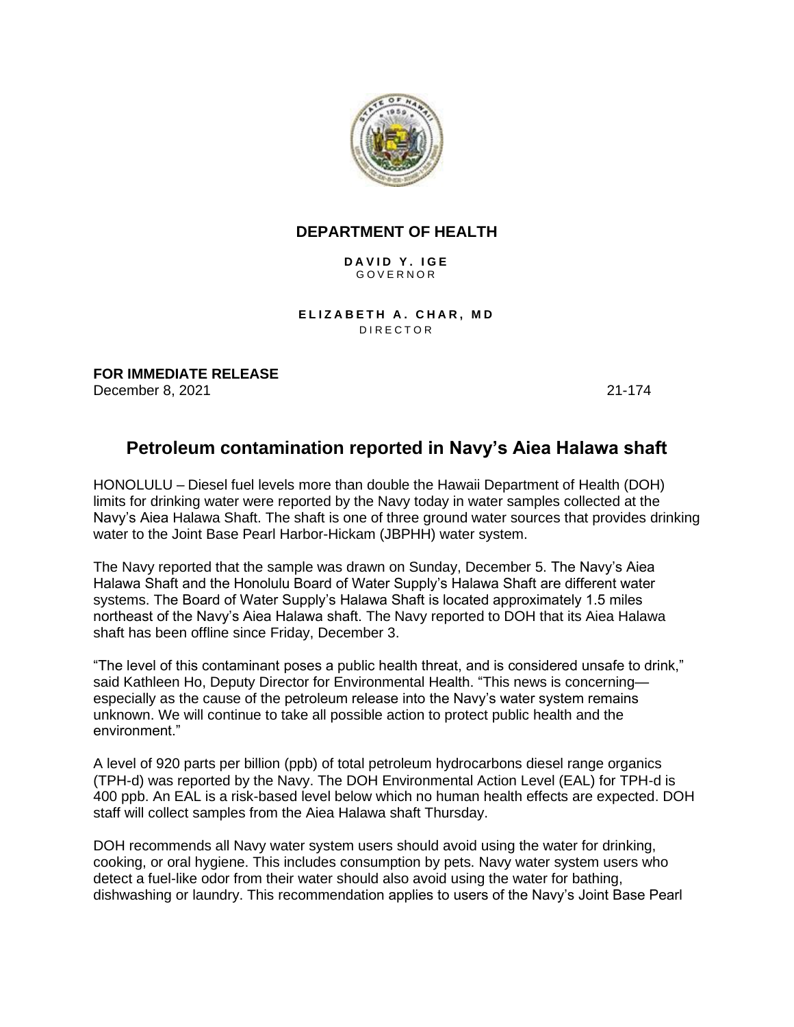

## **DEPARTMENT OF HEALTH**

**D A V I D Y . I G E** G O V E R N O R

**ELIZABETH A. CHAR, MD** D I R E C T O R

**FOR IMMEDIATE RELEASE** December 8, 2021 21-174

## **Petroleum contamination reported in Navy's Aiea Halawa shaft**

HONOLULU – Diesel fuel levels more than double the Hawaii Department of Health (DOH) limits for drinking water were reported by the Navy today in water samples collected at the Navy's Aiea Halawa Shaft. The shaft is one of three ground water sources that provides drinking water to the Joint Base Pearl Harbor-Hickam (JBPHH) water system.

The Navy reported that the sample was drawn on Sunday, December 5. The Navy's Aiea Halawa Shaft and the Honolulu Board of Water Supply's Halawa Shaft are different water systems. The Board of Water Supply's Halawa Shaft is located approximately 1.5 miles northeast of the Navy's Aiea Halawa shaft. The Navy reported to DOH that its Aiea Halawa shaft has been offline since Friday, December 3.

"The level of this contaminant poses a public health threat, and is considered unsafe to drink," said Kathleen Ho, Deputy Director for Environmental Health. "This news is concerning especially as the cause of the petroleum release into the Navy's water system remains unknown. We will continue to take all possible action to protect public health and the environment."

A level of 920 parts per billion (ppb) of total petroleum hydrocarbons diesel range organics (TPH-d) was reported by the Navy. The DOH Environmental Action Level (EAL) for TPH-d is 400 ppb. An EAL is a risk-based level below which no human health effects are expected. DOH staff will collect samples from the Aiea Halawa shaft Thursday.

DOH recommends all Navy water system users should avoid using the water for drinking, cooking, or oral hygiene. This includes consumption by pets. Navy water system users who detect a fuel-like odor from their water should also avoid using the water for bathing, dishwashing or laundry. This recommendation applies to users of the Navy's Joint Base Pearl